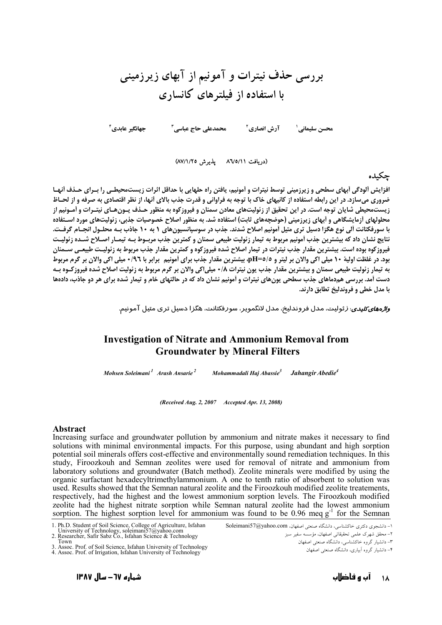# بررسی حذف نیترات و آمونیم از آبهای زیرزمینی با استفاده از فیلترهای کانساری

جهانگير عايدي ً محمدعلی حاج عباسی آ محسن سليماني' آرش انصاري<sup>٢</sup>

(دريافت ٨٦/٥/١١ - يذيرش ٨٧/١/٢٥)

### چكىدە

افزایش ألودگی أبهای سطحی و زیرزمینی توسط نیترات و أمونیم، یافتن راه حلهایی با حداقل اثرات زیستمحیطـی را بـرای حـذف أنهـا ضروری میسازد. در این رابطه استفاده از کانیهای خاک با توجه به فراوانی و قدرت جذب بالای آنها، از نظر اقتصادی به صرفه و از لحـاظ زیستمحیطی شایان توجه است. در این تحقیق از زئولیتهای معادن سمنان و فیروزکوه به منظور حـذف یـون۱هـای نیتـرات و آمـونیم از محلولهای آزمایشگاهی و اَبهای زیرزمینی (حوضچههای ثابت) استفاده شد. به منظور اصلاح خصوصیات جذبی، زئولیتهای مورد اسـتفاده با سورفکتانت آلی نوع هگزا دسیل تری متیل آمونیم اصلاح شدند. جذب در سوسیانسیونهای ۱ به ۱۰ جاذب بـه محلـول انجـام گرفـت. نتايج نشان داد كه بيشترين جذب أمونيم مربوط به تيمار زئوليت طبيعي سمنان و كمترين جذب مربـوط بـه تيمـار اصـلاح شـده زئوليـت فیروزکوه بوده است. بیشترین مقدار جذب نیترات در تیمار اصلاح شده فیروزکوه و کمترین مقدار جذب مربوط به زئولیـت طبیعـی ســمنان بود. در غلظت اولیهٔ ۱۰ میلی اکی والان بر لیتر و pH=0/0، بیشترین مقدار جذب برای آمونیم برابر با ۰/۹٦ میلی اکی والان بر گرم مربوط به تیمار زئولیت طبیعی سمنان و بیشترین مقدار جذب یون نیترات ۰/۸ میلیاکی والان بر گرم مربوط به زئولیت اصلاح شده فیروزکـوه بـه دست آمد. بررسی همدماهای جذب سطحی یونهای نیترات و آمونیم نشان داد که در حالتهای خام و تیمار شده برای هر دو جاذب، دادهها يا مدل خطي و فروندليخ تطابق دارند.

*واژههای کلیدی*: زئولیت، مدل فروندلیخ، مدل لانگمویر، سورفکتانت، هگزا دسیل تری متیل آمونیم.

# **Investigation of Nitrate and Ammonium Removal from Groundwater by Mineral Filters**

Mohsen Soleimani<sup>1</sup> Arash Ansarie<sup>2</sup> Mohammadali Haj Abassie<sup>3</sup> Jahangir Abedie<sup>4</sup>

(Received Aug. 2, 2007 Accepted Apr. 13, 2008)

#### **Abstract**

Increasing surface and groundwater pollution by ammonium and nitrate makes it necessary to find solutions with minimal environmental impacts. For this purpose, using abundant and high sorption potential soil minerals offers cost-effective and environmentally sound remediation techniques. In this study, Firoozkouh and Semnan zeolites were used for removal of nitrate and ammonium from laboratory solutions and groundwater (Batch method). Zeolite minerals were modified by using the organic surfactant hexadecyltrimethylammonium. A one to tenth ratio of absorbent to solution was used. Results showed that the Semnan natural zeolite and the Firoozkouh modified zeolite treatements, respectively, had the highest and the lowest ammonium sorption levels. The Firoozkouh modified zeolite had the highest nitrate sorption while Semnan natural zeolite had the lowest ammonium sorption. The highest sorption level for ammonium was found to be 0.96 meg  $g^{-1}$  for the Semnan

۲– دانشیار گروه آبیاری، دانشگاه صنعتی اصفهان

<sup>1.</sup> Ph.D. Student of Soil Science, College of Agriculture, Isfahan<br>University of Technology, soleimani57@yahoo.com<br>2. Researcher, Safir Sabz Co., Isfahan Science & Technology

Town

The Same Conservation of Technology<br>
1. Assoc. Prof. of Soil Science, Isfahan University of Technology<br>
4. Assoc. Prof. of Irrigation, Isfahan University of Technology

١- دانشجوى دكترى خاكشناسي، دانشگاه صنعتى اصفهان، Soleimani57@yahoo.com

٢- محقق شهرک علمي تحقيقاتي اصفهان، مؤسسه سفير سبز

۳– دانشیار گروه خاکشناسی، دانشگاه صنعتی اصفهان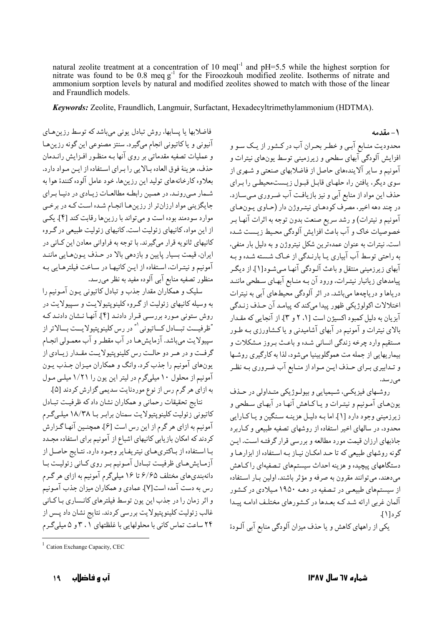natural zeolite treatment at a concentration of 10 meql<sup>-1</sup> and pH=5.5 while the highest sorption for nitrate was found to be 0.8 meq  $g<sup>-1</sup>$  for the Firoozkouh modified zeolite. Isotherms of nitrate and ammonium sorption levels by natural and modified zeolites showed to match with those of the linear and Fraundlich models.

Keywords: Zeolite, Fraundlich, Langmuir, Surfactant, Hexadecyltrimethylammonium (HDTMA).

فاضلابها يا پسابها، روش تبادل يوني ميباشد كه توسط رزين هاي آنیونی و یا کاتیونی انجام میگیرد. سنتز مصنوعی این گونه رزین ها و عملیات تصفیه مقدماتی بر روی آنها بـه منظـور افـزایش رانـدمان حذف، هزينهٔ فوق العاده بالايي را براي استفاده از ايـن مـواد دارد. بعلاوه کارخانههای تولید این رزینها، خود عامل آلوده کنندهٔ هوا به شـمار مـی رونـد. در همـین رابطـه مطالعـات زیـادی در دنیـا بـرای جایگزینی مواد ارزان تر از رزین هـا انجـام شـده اسـت کـه در برخـی موارد سودمند بوده است و می تواند با رزینها رقابت کند [۴]. یکی از این مواد، کانیهای زئولیت است. کانیهای زئولیت طبیعی در گروه کانیهای ثانویه قرار میگیرند. با توجه به فراوانی معادن این کـانی در ايران، قيمت بسيار پايين و بازدهي بالا در حـذف يـونهـايي ماننـد آمونیم و نیتـرات، اسـتفاده از ایـن کانیهـا در سـاخت فیلترهـایی بـه منظور تصفیه منابع آبی آلوده مفید به نظر میرسد.

سلیک و همکاران مقدار جذب و تبادل کاتیونی یـون آمـونیم را به وسیله کانیهای زئولیت از گروه کلینوپتیولایت و سپیولایت در روش ستونی مورد بررسی قـرار دادنـد [۴]. آنهـا نـشان دادنـد کـه "ظرفيــت تبــادل كــاتيوني `" در رس كلينويتيولايــت بــالاتر از سپیولایت می باشد. آزمایش هـا در آب مقطـر و آب معمـولی انجـام گرفت و در هـر دو حالـت رس كلينوپتيولايـت مقـدار زيـادي از یونهای آمونیم را جذب کرد. وانگ و همکاران میـزان جـذب یـون آمونیم از محلول ۱۰ میلیگرم در لیتر این یون را ۱/۲۱ میلـی مـول به ازای هر گرم رس از نوع موردنایت سدیمی گزارش کردند [۵].

نتايج تحقيقات رحماني و همكاران نشان دادكه ظرفيت تبادل کاتیونی زئولیت کلینوپتیولایت سمنان برابر با ۱۸/۳۸ میلهگرم آمونیم به ازای هر گرم از این رس است [۶]. همچنـین آنهـاگـزارش کردند که امکان بازیابی کانیهای اشباع از آمونیم برای استفاده مجـدد با استفاده از باكترى هاى نيتريفاير وجود دارد. نتايج حاصل از آزمایش های ظرفیت تبادل آمونیم بر روی کـانی زئولیـت بـا دانهبنديهاي مختلف ۶/۶۵ تا ۱۶ ميليگرم آمونيم به ازاي هر گـرم رس به دست آمده است[۷]. عمادي و همكاران ميزان جذب آمـونيم و اثر زمان را در جذب این یون توسط فیلترهای کانـساری بـاکـانی غالب زئولیت کلینوپتیولایت بررسی کردند. نتایج نشان داد پـس از ۲۴ ساعت تماس کانی با محلولهایی با غلظتهای ۲۰۱ و ۵ میلیگرم

۱ – مقدمه محدودیت منـابع آبـي و خطـر بحـران آب در كـشور از يـك سـو و افزایش آلودگی آبهای سطحی و زیرزمینی توسط یونهای نیترات و .<br>آمونیم و سایر آلایندههای حاصل از فاضلابهای صنعتی و شـهری از سوی دیگر، یافتن راه حلهـای قابـل قبـول زیـستمحیطـی را بـرای حذف این مواد از منابع آبی و نیز بازیافت آب ضروری می سازد. در چند دهه اخیر، مصرّف کودهـای نیتـروژن دار (حـاوی پـون۱عای آمونيم و نيترات) و رشد سريع صنعت بدون توجه به اثرات آنهـا بـر خصوصیات خاک و آب باعث افزایش آلودگی محیط زیست شده است. نیترات به عنوان عمدهترین شکل نیتروژن و به دلیل بار منفی، به راحتی توسط آب آبیاری یـا بارنـدگی از خـاک شـسته شـده و بـه آبهای زیرزمینی منتقل و باعث آلـودگی آنهـا مـی.شـود[۱]. از دیگـر پیامدهای زیانبار نیتـرات، ورود آن بـه منـابع آبهـای سـطحی ماننـد دریاها و دریاچهها میباشد. در اثر آلودگی محیطهای آبی به نیترات اختلالات اکولوژيکي ظهور پيدا مي کند که پيامـد آن حـذف زنـدگي آبزیان به دلیل کمبود اکسیژن است [۱. ۲ و ۳]. از آنجایی که مقـدار بالای نیترات و آمونیم در آبهای آشامیدنی و یاکشاورزی بـه طـور مستقیم وارد چرخه زندگی انسانی شـده و باعـث بـروز مـشکلات و بیماریهایی از جمله مت هموگلوبینیا می شود، لذا به کارگیری روشیها و تـدابيري بـراي حـذف ايـن مـواد از منـابع آب ضـروري بـه نظـر مے رسد.

روشهای فیزیکمی، شیمیایی و بیولوژیکی متداولی در حـذف یونهای آمونیم و نیترات و یاکاهش آنها در آبهای سطحی و زیرزمینی وجود دارد [۱]. اما بـه دلیـل هزینـه سـنگین و یـاکـارایی محدود، در سالهای اخیر استفاده از روشهای تصفیه طبیعی و کــاربرد جاذبهای ارزان قیمت مورد مطالعه و بررسی قرار گرفتـه اسـت. ایـن گونه روشهای طبیعی که تا حـد امکـان نیـاز بـه اسـتفاده از ابزارهـا و دستگاههای پیچیده و هزینه احداث سیستمهای تصفیهای راکاهش مي دهند، مي توانند مقرون به صرفه و مؤثر باشند. اولين بـار اسـتفاده از سیستمهای طبیعی در تصفیه در دهـه ۱۹۵۰ مـیلادی در کـشور آلمان غربی ارائه شـد کـه بعـدها در کـشورهای مختلـف ادامـه پــدا کر د[۱].

یکی از راههای کاهش و یا حذف میزان آلودگی منابع آبی آلـودهٔ

 $1$  Cation Exchange Capacity, CEC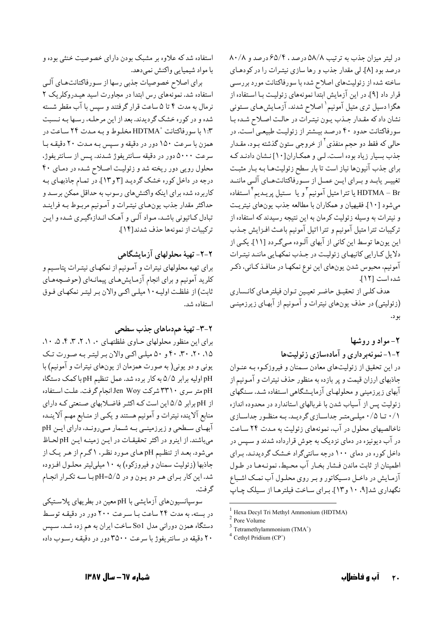در لیتر میزان جذب به ترتیب ۵۸/۸ درصد ، ۶۵/۴ درصد و ۸۰/۸ درصد بود [٨]. لي مقدار جذب و رها سازي نيتـرات را در كودهـاي ساخته شده از زئولیتهای اصلاح شده با سورفاکتانت مورد بررسی قرار داد [۹]. در این آزمایش ابتداً نمونههای زئولیـت بـا اسـتفاده از هگزا دسیل تری متیل آمونیم`اصلاح شدند. آزمایش هـای سـتونی نشان داد که مقـدار جـذب يـون نيتـرات در حالـت اصـلاح شـده بـا سورفاکتانت حدود ۴۰ درصد بیشتر از زئولیت طبیعی است. در حالی که فقط دو حجم منفذی<sup>۲</sup> از خروجی ستون گذشته بـود، مقـدار جذب بسیار زیاد بوده است. لبی و همکاران[۱۰] نشان دادنـد کـه برای جذب آنیونها نیاز است تا بار سطح زئولیتهـا بـه بـار مثبـت تغییـر یابـد و بـراي ايــن عمــل از ســورفاكتانتهــاي آلــي ماننــد یا تترا متیل آمونیم ٌ و یا ستیل پریـدیم ٔ اسـتفاده HDTMA – Br میشود [۱۰]. فقیهیان و همکاران با مطالعه جذب یونهای نیتریت و نیترات به وسیله زئولیت کرمان به این نتیجه رسیدند که استفاده از تركيبات تترا متيل آمونيم و تترا اتيل آمونيم باعث افـزايش جـذب این یونها توسط این کانی از آبهای آلـوده مـیگـردد [۱۱]. یکـی از دلایل کارایی کانیهای زئولیت در جـذب نمکهایی ماننـد نیتـرات آمونیم، محبوس شدن یونهای این نوع نمکهـا در منافـذ کـاني، ذکـر شده است [١٢].

هدف كلبي از تحقيـق حاضـر تعيـين تـوان فيلترهـاي كانـساري (زئولیتی) در حذف یونهای نیترات و آمـونیم از آبهـای زیرزمینـی بو د.

# ۲- مواد و روشها

۲-۱- نمونهبر داری و آمادهسازی زئولیتها

در این تحقیق از زئولیتهای معادن سـمنان و فیروزکـوه بـه عنـوان جاذبهای ارزان قیمت و پر بازده به منظور حذف نیترات و آمـونیم از آبهای زیرزمینی و محلولهـای آزمایـشگاهی اسـتفاده شـد. سـنگهای زئولیت پس از آسیاب شدن با غربالهای استاندارد در محدوده اندازه ۰/۱ تا ۰/۵ میلی متـر جداسـازی گردیـد. بـه منظـور جداسـازی ناخالصیهای محلول در آب، نمونههای زئولیت به مـدت ۲۴ سـاعت در آب دیونیزه در دمای نزدیک به جوش قرارداده شدند و سیس در داخل کوره در دمای ۱۰۰ درجه سانتیگراد خشک گردیدنـد. بـرای اطمینان از ثابت ماندن فـشار بخـار آب محـیط، نمونـههـا در طـول آزمایش در داخـل دسـیکاتور و بـر روی محلـول آب نمـک اشـباع نگهداری شد[۹، ۱۰ و ۱۳]. برای ساخت فیلترهـا از سیلک چـاپ

برای اصلاح خصوصیات جذبی رسها از سورفاکتانتهای آلبی استفاده شد. نمونههای رس ابتدا در مجاورت اسید هیـدروکلریک ۲ نرمال به مدت ۴ تا ۵ ساعت قرار گرفتند و سپس با آب مقطر شسته شده و در کوره خشک گردیدند. بعد از این مرحلـه، رسـها بـه نـسبت ۱:۳ با سورفاکتانت ٔ HDTMA مخلوط و بـه مـدت ۲۴ سـاعت در همزن با سرعت ١۵٠ دور در دقیقه و سیس بـه مـدت ٢٠ دقیقـه بـا سرعت ۵۰۰۰ دور در دقیقه سـانتریفوژ شـدند. پـس از سـانتریفوژ، محلول رویی دور ریخته شد و زئولیت اصـلاح شـده در دمـای ۴۰ درجه در داخل کوره خشک گرديـد [۳ و ۱۳]. در تمـام جاذبهـاي بـه کاربرده شده برای اینکه واکنشهای رسوب به حداقل ممکن برسـد و حداكثر مقدار جذب يونهـاي نيتـرات و آمـونيم مربـوط بـه فراينـد تبادل کـاتیونی باشـد. مـواد آلـی و آهـک انـدازهگیـری شـده و ایـن تركيبات از نمونهها حذف شدند[١٤].

۲-۲- تهیهٔ محلولهای آزمایشگاهی

برای تهیه محلولهای نیترات و آمـونیم از نمکهـای نیتـرات پتاسـیم و کلرید آمونیم و برای انجام آزمایش هـای پیمانـهای (حوضـچههـای ثابت) از غلظت اولیـه ۱۰ میلـی اکـی والان بـر لیتـر نمکهـای فـوق استفاده شد.

# ۲-۳- تهیهٔ هم دماهای جذب سطحی

برای این منظور محلولهای حیاوی غلظتهای ۰، ۱، ۲، ۳، ۴، ۵، ۱۰ ۰٫۴۰ ،۳۰ ،۳۰ و ۵۰ میلی اکبی والان بر لیتر به صورت تک یونی و دو یونی( به صورت همزمان از یونهای نیترات و آمونیم) با pH اولیه برابر ۵/۵ به کار برده شد. عمل تنظیم pH با کمک دستگاه pH متر سرى ٣٣١٠ شركت Jen Woy انجام گرفت. علت استفاده از pH برابر ۵/۵ این است کـه اکثـر فاضـلابهای صـنعتی کـه دارای منابع آلاینده نیترات و آمونیم هستند و یکـی از منـابع مهـم آلاینـده آبهای سطحی و زیرزمینمی بـه شـمار مـیرونـد، دارای ایـن pH میباشند. از اینرو در اکثر تحقیقات در این زمینه این pH لحاظ میشود. بعـد از تنظـیم pHهـای مـورد نظـر، ۱ گـرم از هـر یـک از جاذبها (زئوليت سمنان و فيروزكوه) به ١٠ ميليليتر محلـول افـزوده شد. این کار برای هر دو یون و در pH=۵/۵ با سه تکرار انجام گر فت.

سوسیانسیونهای آزمایشی با pH معین در بطریهای پلاستیکی در بسته، به مدت ۲۴ ساعت بـا سـرعت ۲۰۰ دور در دقیقـه توسـط دستگاه همزن دورانی مدل So1 ساخت ایران به هم زده شـد. سـیس ۲۰ دقیقه در سانتریفوژ با سرعت ۳۵۰۰ دور در دقیقـه رسـوب داده

Hexa Decyl Tri Methyl Ammonium (HDTMA)

 $2$  Pore Volume

 $3$  Tetramethylammonium (TMA<sup>+</sup>)

 $4$  Cethyl Pridium (CP<sup>+</sup>)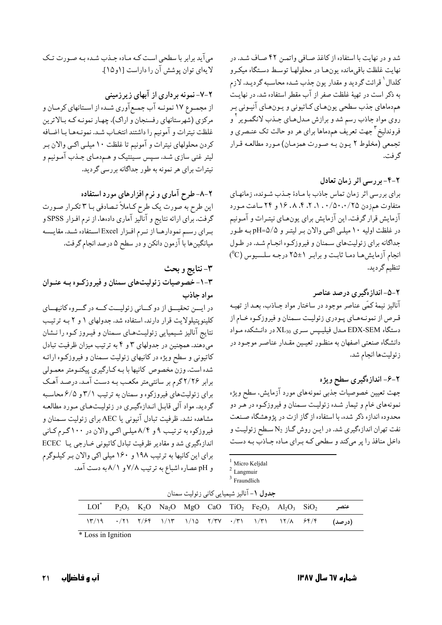شد و در نهایت با استفاده از کاغذ صـافی واتمـن ۴۲ صـاف شـد. در نهايت غلظت باقىمانده يونهـا در محلولهـا توسـط دسـتگاه ميكـرو كلدال ٰ قرائت گرديد و مقدار يون جذب شـده محاسـبه گرديـد. لازم به ذکر است در تهیهٔ غلظت صفر از آب مقطر استفاده شد. در نهایت هم‹ماهاي جذب سطحي يونهـاي كـاتيوني و يـونهـاي آنيـوني بـر روي مواد جاذب رسم شد و برازش مـدلهـاي جـذب لانگمـوير <sup>٢</sup> و فروندلیخ <sup>۳</sup> جهت تعریف هم۱ماها برای هر دو حالت تک عنـصری و تجمعي (مخلوط ٢ يـون بـه صـورت همزمـان) مـورد مطالعـه قـرار گ فت.

٢-۴- بر رسی اثر زمان تعادل

برای بررسی اثر زمان تماس جاذب با مـادهٔ جـذب شـونده، زمانهـای متفاوت همزدن ۰٫۵۰،۰/۵۰،۰/۵۰، ۰٫۱ ، ۹٫ ، ۱۶ و ۲۴ ساعت مورد آزمایش قرار گرفت. این آزمایش برای یونهای نیتـرات و آمـونیم در غلظت اولیه ۱۰ میلـی اکـی والان بـر لیتـر و pH=۵/۵ بـه طـور جداگانه برای زئولیتهای سمنان و فیروزکوه انجام شد. در طول انجام آزمایش ها دما ثابت و برابر ۱±۲۵ درجه سلسیوس (C°) تنظيم گرديد.

۲–۵–اندازهگیری درصد عناصر ۔<br>آنالیز نیمهٔ کمّی عناصر موجود در ساختار مواد جـاذب، بعـد از تهیـه قرص از نمونـههـاي پـودري زئوليـت سـمنان و فيروزكـوه خـام از دستگاه EDX-SEM مـدل فیلیـپس سـری XL30 در دانـشکده مـواد دانشگاه صنعتی اصفهان به منظور تعیمین مقدار عناصر موجـود در زئوليتها انجام شد.

۲-۶- اندازهگیری سطح ویژه

جهت تعیین خصوصیات جذبی نمونههای مورد آزمایش، سطح ویژه نمونههای خام و تیمار شده زئولیت سمنان و فیروزکـوه در هـر دو محدوده اندازه ذکر شده، با استفاده از گاز ازت در پژوهشگاه صـنعت نفت تهران اندازهگیری شد. در ایـن روش گـاز N2 سـطح زئولیـت و داخل منافذ را پر میکند و سطحی که برای ماده جاذب به دست

Micro Keljdal

 $3$  Fraundlich

| جدول ١- آناليز شيميايي كاني زئوليت سمنان                                                                                                                                         |  |  |  |  |  |  |  |  |  |                                                                        |
|----------------------------------------------------------------------------------------------------------------------------------------------------------------------------------|--|--|--|--|--|--|--|--|--|------------------------------------------------------------------------|
| $LOI^*$ P <sub>2</sub> O <sub>5</sub> K <sub>2</sub> O Na <sub>2</sub> O MgO CaO TiO <sub>2</sub> Fe <sub>2</sub> O <sub>3</sub> Al <sub>2</sub> O <sub>3</sub> SiO <sub>2</sub> |  |  |  |  |  |  |  |  |  | عنصر                                                                   |
|                                                                                                                                                                                  |  |  |  |  |  |  |  |  |  | $(Y/19 \t -17)$ (درصد) $(Y/5)$ ( درصد) کام (۲۳ - ۱۳۷ - ۱۳) (۲۰۱۳ - ۱۳) |

\* Loss in Ignition

می آید برابر با سطحی است کـه مـاده جـذب شـده بـه صـورت تـک لا یهای توان یوشش آن را داراست [۱و ۱۵].

۲-۷- نمونه برداری از آبهای زیرزمینی

از مجمـوع ١٧ نمونــه آب جمــع آوري شــده از اســتانهاي كرمــان و مرکزی (شهرستانهای رفسنجان و اراک)، چهار نمونـه کـه بـالاترين غلظت نيترات و آمونيم را داشتند انتخـاب شـد. نمونـههـا بـا اضـافه کردن محلولهای نیترات و آمونیم تا غلظت ۱۰ میلـی اکـی والان بـر لیتر غنی سازی شـد. سـپس سـینتیک و هـم‹مـای جـذب آمـونیم و نیترات برای هر نمونه به طور جداگانه بررسی گردید.

۲-۸-طرح آماری و نرم افزارهای مورد استفاده این طرح به صورت یک طرح کـاملاً تـصادفی بـا ۳ تکـرار صـورت گرفت. برای ارائه نتایج و آنالیز آماری دادهها، از نرم افـزار SPSS و برای رسم نمودارهـا از نـرم افـزار Excel اسـتفاده شـد. مقايـسه میانگینها با آزمون دانکن و در سطح ۵ درصد انجام گرفت.

۳-نتايج و بحث ۰-۳- خصوصیات زئولیتهای سمنان و فیروزکـوه بـه عنـوان مواد جاذب در ایسن تحقیسق از دو کسانی زئولیست کسه در گسروه کانیهسای کلینویتیلولایت قرار دارند، استفاده شد. جدولهای ۱ و ۲ بـه ترتیب

نتایج آنالیز شیمیایی زئولیتهای سمنان و فیروز کـوه را نـشان میدهند. همچنین در جدولهای ۳ و ۴ به ترتیب میزان ظرفیت تبادل کاتیونی و سطح ویژه در کانیهای زئولیت سـمنان و فیروزکـوه ارائـه شده است. وزن مخصوص كانيها با بـه كـارگيري پيكنـومتر معمـولي برابر ۲/۲۶گرم بر سانتیمتر مکعب بـه دسـت آمـد. درصـد آهـک برای زئولیتهای فیروزکوه و سمنان به ترتیب ۳/۱ و ۶/۵ محاسبه گردید. مواد آلی قابل انـدازهگیـري در زئولیـتهـاي مـورد مطالعـه مشاهده نشد. ظرفیت تبادل آنیونی یا AEC برای زئولیت سـمنان و فیروزکوه به ترتیب ۹ و ۸/۴ میلی اکسی والان در ۱۰۰ گرم کانی اندازهگیری شد و مقادیر ظرفیت تبادل کاتیونی خـارجی یـا ECEC برای این کانیها به ترتیب ۱۹۸ و ۱۶۰ میلی اکی والان بر کیلوگرم و pH عصاره اشباع به ترتیب ۷/۸ و ۸/۱ به دست آمد.

<sup>&</sup>lt;sup>2</sup> Langmuir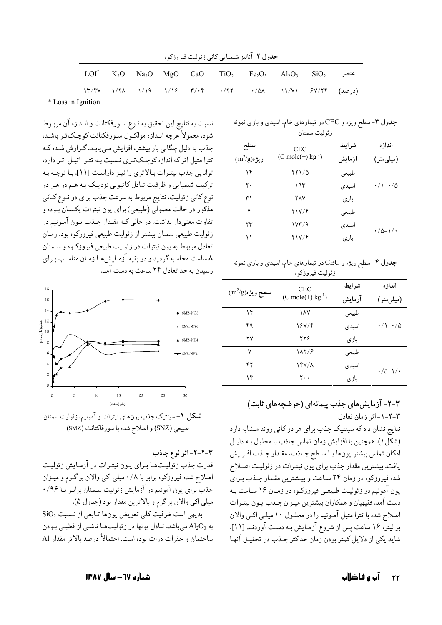|                  | جدول ۲-آنالیز شیمیایی کانی زئولیت فیروزکوه |  |  |  |  |                                                                             |  |  |  |  |
|------------------|--------------------------------------------|--|--|--|--|-----------------------------------------------------------------------------|--|--|--|--|
|                  |                                            |  |  |  |  | $LOI^*$ $K_2O$ $Na_2O$ $MgO$ $CaO$ $TiO_2$ $Fe_2O_3$ $Al_2O_3$ $SiO_2$ عنصر |  |  |  |  |
|                  |                                            |  |  |  |  | $\frac{17}{51}$ (درصد) ۱۳/۴۷ /۴۸ /۱۹ /۱۶ /۴۷ /۴۲ /۵۸ /۱/۷۱ /۷/۲۴ (درصد)     |  |  |  |  |
| Loss in Lanitian |                                            |  |  |  |  |                                                                             |  |  |  |  |

\* Loss in Ignition

نسبت به نتايج اين تحقيق به نـوع سـورفكتانت و انـدازه آن مربـوط شود. معمولاً هرچه انـدازه مولكـول سـورفكتانت كوچـكتـر باشـد. جذب به دلیل چگالی بار بیشتر، افزایش می یابد. گزارش شده که تترا متیل اتر که اندازه کوچک تری نسبت به تترا اتیل اتر دارد، توانایی جذب نیترات بالاتری را نیز داراست [۱۱]. با توجه به ترکیب شیمیایی و ظرفیت تبادل کاتیونی نزدیک بـه هـم در هـر دو نوع کاني زئوليت، نتايج مربوط به سرعت جذب براي دو نـوع کـاني مذکور در حالت معمولی (طبیعی) برای یون نیترات یکسان بـوده و تفاوت معنىدار نداشت. در حالي كـه مقـدار جـذب يـون آمـونيم در زئولیت طبیعی سمنان بیشتر از زئولیت طبیعی فیروزکوه بود. زمـان تعادل مربوط به يون نيترات در زئوليت طبيعي فيروزكـوه و سـمنان ۸ ساعت محاسبه گردید و در بقیه آزمـایش هـا زمـان مناسـب بـرای رسیدن به حد تعادل ۲۴ ساعت به دست آمد.



**شکل ۱**-سینتیک جذب یونهای نیترات و آمونیم، زئولیت سمنان طبيعي (SNZ) و اصلاح شده با سورفاكتانت (SMZ)

۳-۲-۲-اثر نوع جاذب

قدرت جذب زئوليتها براي يـون نيتـرات در آزمـايش زئوليـت اصلاح شده فیروزکوه برابر با ۰/۸ میلی اکی والان بر گرم و میزان جذب برای یون آمونیم در آزمایش زئولیت سمنان برابر با ۹۶/۰ ميلي اكي والان بر گرم و بالاترين مقدار بود (جدول ۵).

بديهي است ظرفيت كلي تعويض يونها تـابعي از نـسبت SiO2 به Al2O3 میباشد. تبادل یونها در زئولیتها ناشمی از قطبمی بودن ساختمان و حفرات ذرات بوده است. احتمالاً درصد بالاتر مقدار Al جدول ۳- سطح ویژه و CEC در تیمارهای خام، اسیدی و بازی نمونه

| ر بو لیب سمنان |                                       |        |                               |  |  |  |  |  |
|----------------|---------------------------------------|--------|-------------------------------|--|--|--|--|--|
| سطح            | <b>CEC</b>                            | شرايط  | اندازه                        |  |  |  |  |  |
| $(m^2/g)$ ويژه | $(C \text{ mole}(+) \text{ kg}^{-1})$ | آزمايش | (میلیمتر)                     |  |  |  |  |  |
| ۱۴             | 771/0                                 | طبيعي  |                               |  |  |  |  |  |
| ٢٠             | ۱۹۳                                   | اسيدى  | $\cdot$ /\ $ \cdot$ / $\circ$ |  |  |  |  |  |
| ۳۱             | <b>YAY</b>                            | بازى   |                               |  |  |  |  |  |
| ۴              | 217/F                                 | طبيعي  |                               |  |  |  |  |  |
| ۲۳             | ۱۷۳/۹                                 | اسيدى  | $\cdot$ /0-1/ $\cdot$         |  |  |  |  |  |
| ۱۱             | ۲۱۷/۴                                 | بازى   |                               |  |  |  |  |  |

جدول ۴- سطح ویژه و CEC در تیمارهای خام، اسیدی و بازی نمونه زئولیت فیروزکوه

|                                    | <b>CEC</b>                            | شرايط  | اندازه                               |  |
|------------------------------------|---------------------------------------|--------|--------------------------------------|--|
| $(\,m^2\!/g)\mathfrak{o}$ سطح ویژه | $(C \text{ mole}(+) \text{ kg}^{-1})$ | آزمايش | (میلی متر)                           |  |
| ۱۴                                 | ١٨٧                                   | طبيعي  |                                      |  |
| ۴۹                                 | 187/4                                 | اسيدى  | $\cdot / \setminus - \cdot / \Delta$ |  |
| ۲۷                                 | ۲۲۶                                   | بازى   |                                      |  |
| ٧                                  | 187/8                                 | طبيعي  |                                      |  |
| ۴۲                                 | $YY/\lambda$                          | اسيدى  | $\cdot$ / $\circ$ - \ / $\cdot$      |  |
| ۱۴                                 | ۲۰۰                                   | بازي   |                                      |  |
|                                    |                                       |        |                                      |  |

۴-۲- آزمایش های جذب پیمانهای (حوضچههای ثابت) ٣-٢-١-اثر زمان تعادل نتایج نشان داد که سینتیک جذب برای هر دو کانی روند مشابه دارد (شکل ۱). همچنین با افزایش زمان تماس جاذب با محلول بـه دلیـل امكان تماس بيشتر يونها با سطح جـاذب، مقـدار جـذب افـزايش

يافت. بيشترين مقدار جذب براي يون نيتـرات در زئوليـت اصـلاح شده فیروزکوه در زمان ۲۴ ساعت و بیشترین مقدار جـذب بـرای يون آمونيم در زئوليت طبيعي فيروزكـوه در زمـان ۱۶ سـاعت بـه دست آمد. فقیهیان و همکاران بیشترین میـزان جـذب پـون نیتـرات اصلاح شده با تترا متیل آمـونیم را در محلـول ۱۰ میلـی اکـی والان بر لیتر، ۱۶ ساعت پس از شروع آزمایش بـه دسـت آوردنـد [۱۱]. شايد يكي از دلايل كمتر بودن زمان حداكثر جـذب در تحقيـق آنهـا

شماره ٦٧ – سال ١٣٨٧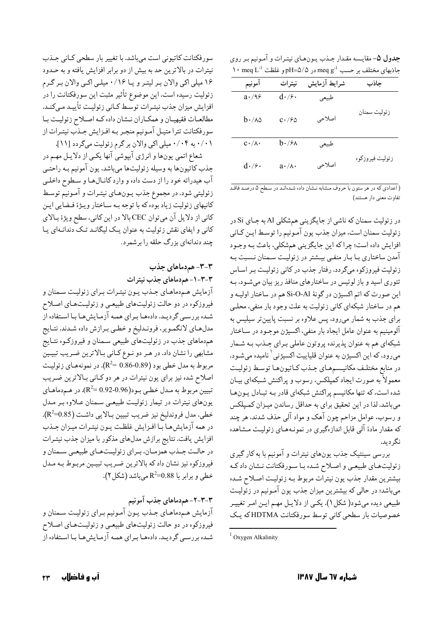**جدول ۵**- مقايـسه مقـدار جـذب يـونهـاي نيتـرات و آمـونيم بـر روي  $\cdot$  meq L<sup>-1</sup> باذبهای مختلف بر حسب meq g<sup>-1</sup> در pH=۵/۵ و غلظت  $\cdot$ neq L

| آمونيم              | نيترات                  | شرايط آزمايش | جاذب            |
|---------------------|-------------------------|--------------|-----------------|
| $a \cdot / 9$       | $d\cdot$ / $\epsilon$ . | طبيعي        |                 |
| $b\cdot$ /۸۵        | $c\cdot$ /۶۵            | اصلاحی       | زئوليت سمنان    |
| $c \cdot / \lambda$ | $b\cdot$ /۶۸            | طبيعي        |                 |
| $d\cdot$ /۶.        | $a \cdot / \lambda$ .   | اصلاحي       | زئوليت فيروزكوه |

.<br>( اعدادي كه در هر ستون با حروف مشابه نـشان داده شـدهانـد در سـطح ۵ درصـد فاقـد تفاوت معنى دار هستند)

در زئولیت سمنان که ناشی از جایگزینی همشکلی A1 به جـای Si در زئوليت سمنان است، ميزان جذب يون آمـونيم را توسـط ايـن كـاني افزایش داده است؛ چراکه این جایگزینی همشکلی، باعث بـه وجـود آمدن ساختاري بـا بـار منفـي بيـشتر در زئوليـت سـمنان نـسبت بـه زئولیت فیروزکوه میگردد. رفتار جذب در کانی زئولیت بـر اسـاس تئوري اسيد و باز لوئيس در ساختارهاي منافذ ريز بيان مي شـود. بـه اين صورت كه اتم اكسيژن در گونهٔ Si-O-Al هم در ساختار اوليـه و هم در ساختار شبکهای کانی زئولیت به علت وجود بار منفی، محلـی برای جذب به شمار میرود، پس علاوه بر نسبت پایینتر سیلیس به آلومینیم به عنوان عامل ایجاد بار منفی، اکسیژن موجـود در سـاختار شبکهای هم به عنوان پذیرنده پروتون عاملی بـرای جـذب بـه شـمار میرود، که این اکسیژن به عنوان قلیاییت اکسیژنی <sup>۱</sup> نامیده میشـود. در منابع مختلف مكانيـسمهـاي جـذب كـاتيونهـا توسـط زئوليـت معمولاً به صورت ایجاد کمیلکس، رسوب و پراکنش شبکهای بیـان شده است، که تنها مکانیسم پراکنش شبکهای قادر بـه تبـادل پـونهـا میباشد. لذا در این تحقیق برای به حداقل رساندن میـزان کمـپلکس و رسوب، عوامل مزاحم چون آهک و مواد آلبی حذف شدند، هر چند که مقدار مادهٔ آلی قابل اندازهگیری در نمونـههـای زئولیـت مـشاهده نگ دىد.

بررسی سینتیک جذب یونهای نیترات و آمونیم با به کار گیری زئولیتهای طبیعی و اصلاح شده با سورفکتانت نشان داد که بیشترین مقدار جذب یون نیترات مربوط بـه زئولیـت اصـلاح شـده میباشد؛ در حالی که بیشترین میزان جذب یون آمونیم در زئولیت طبیعی دیده میشود( شکل ۱). یکسی از دلایل مهم ایـن امـر تغییـر خصوصیات بار سطحی کانی توسط سورفکتانت HDTMAکه یک

سورفکتانت کاتیونی است میباشد. با تغییر بار سطحی کـانی جـذب نیترات در بالاترین حد به بیش از دو برابر افزایش یافته و به حـدود ۱۶ میلی اکی والان بر لیتر و یا ۰/۱۶ میلی اکبی والان بر گرم زئولیت رسیده است. این موضوع تأثیر مثبت این سورفکتانت را در افزایش میزان جذب نیتـرات توسـط کـاني زئوليـت تأييـد مـيكنـد. مطالعـات فقيهيـان و همكـاران نـشان داده كـه اصـلاح زئوليـت بـا سورفکتانت تترا متيـل آمـونيم منجـر بـه افـزايش جـذب نيتـرات از ۰/۰۱ به ۰/۰۴ میلی اکبی والان بر گرم زئولیت میگردد [۱۱].

شعاع اتمي يونها و انرژي آبپوشي آنها يکـي از دلايـل مهـم در جذب کاتیونها به وسیله زئولیتها میباشد. یون آمونیم بـه راحتـی آب هیدراته خود را از دست داده و وارد کانـالهـا و سـطوح داخلـي زئوليتي شود. در مجموع جذب يـونهـاي نيتـرات و آمـونيم توسـط کانیهای زئولیت زیاد بوده که با توجه بـه سـاختار ویـژهٔ فـضایی ایـن كاني از دلايل آن ميتوان CEC بالا در اين كاني، سطح ويژهٔ بالاي کانی و ایفای نقش زئولیت به عنوان یک لیگانـد تـک دندانـهای یـا چند دندانهای بزرگ حلقه را برشمرد.

#### ۳-۳- هم دماهای جذب

٣-٣-١- هم دماهای جذب نیترات

آزمایش هم دماهـای جـذب یـون نیتـرات بـرای زئولیـت سـمنان و فیروزکوه در دو حالت زئولیتهای طبیعی و زئولیتهای اصلاح شـده بررسـي گرديـد. دادههـا بـراي همـه آزمـايش١هـا بـا اسـتفاده از مدلهای لانگمویر، فرونـدلیخ و خطـي بـرازش داده شـدند. نتـايج همدماهای جذب در زئولیتهای طبیعی سـمنان و فیروزکـوه نتـایج مشابهی را نشان داد. در هـر دو نـوع كـاني بـالاترين ضـريب تبيـين مربوط به مدل خطي بود (0.89-0.86 k<sup>2</sup>=). در نمونههـاي زئوليـت اصلاح شده نیز برای یون نیترات در هر دو کـانی بـالاترین ضـریب تبیین مربوط به مـدل خطـي بـود(0.96-0.92 k<sup>2</sup>). در هـم‹ماهـاي یونهای نیترات در تیمار زئولیت طبیعی سمنان علاوه بر مدل خطي، مدل فروندليخ نيز ضريب تبيين بـالايي داشـت (R2=0.85). در همه آزمایش،ا با افـزایش غلظـت یـون نیتـرات میـزان جـذب افزایش یافت. نتایج برازش مدلهای مذکور با میزان جذب نیتـرات در حالـت جـذب همزمـان، بـراي زئوليـتهـاي طبيعـي سـمنان و فیروزکوه نیز نشان دادکه بالاترین ضـریب تبیـین مربـوط بـه مـدل  $\mathsf{R}^2 = 0.88$  (شکل) +). خطی و برابر با R $^2 = 0.88$  میباشد

#### ۳-۳-۲- هم دماهای جذب آمونیم

آزمایش هـم‹ماهـای جـذب یـون آمـونیم بـرای زئولیـت سـمنان و فیروزکوه در دو حالت زئولیتهای طبیعی و زئولیـتهـای اصـلاح شـده بررسـي گرديـد. دادههـا بـراي همـه آزمـايش هـا بـا اسـتفاده از

 $1$  Oxygen Alkalinity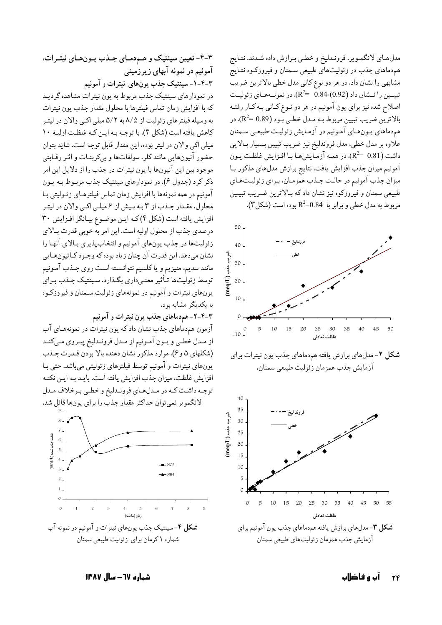مدلهای لانگمویر، فروندلیخ و خطبی برازش داده شدند. نتایج همدماهای جذب در زئولیتهای طبیعی سمنان و فیروزکـوه نتـایج مشابهی را نشان داد. در هر دو نوع کانی مدل خطی بالاترین ضریب تبيسين را نمشان داد (0.92)-0.84  $\mathbb{R}^2$ . در نمونسههمای زئوليمت اصلاح شده نیز برای یون آمونیم در هر دو نـوع کـانی بـه کـار رفتـه بالاترين ضريب تبيين مربوط بـه مـدل خطـي بـود (R2= 0.89). در همدماهای یـونهـای آمـونیم در آزمـایش زئولیـت طبیعـی سـمنان علاوه بر مدل خطي، مدل فروندليخ نيز ضريب تبيين بـسيار بـالايي داشت (R2= 0.81). در همـه آزمـايش،هـا بـا افـزايش غلظـت يـون آمونیم میزان جذب افزایش یافت. نتایج برازش مدلهای مذکور بـا میزان جذب آمونیم در حالت جـذب همزمـان، بـراي زئوليـتهـاي طبیعی سمنان و فیروزکوه نیز نشان داد که بالاترین ضریب تبیمین مربوط به مدل خطي و برابر با R2=0.84 بوده است (شكل ٣).



# ۴-۳- تعیین سینتیک و هـم‹مـای جـذب پـونهـای نیتـرات، آمونیم در نمونه آبهای زیرزمینی

۴-۴-۱-سینتیک جذب یونهای نیترات و آمونیم

در نمودارهای سینتیک جذب مربوط به یون نیترات مشاهده گردیـد كه با افزايش زمان تماس فيلترها با محلول مقدار جذب يون نيترات به وسیله فیلترهای زئولیت از ۸/۵ به ۵/۲ میلی اکبی والان در لیتـر کاهش یافته است (شکل ۴). با توجه به این که غلظت اولیه ۱۰ میلی اکی والان در لیتر بوده، این مقدار قابل توجه است. شاید بتوان حضور آنیونهایی مانند کلر، سولفاتها و بیکربنـات و اثـر رقـابتی موجود بين اين آنيونها با يون نيترات در جذب را از دلايل اين امر ذکر کرد (جدول ۶). در نمودارهای سینتیک جذب مربـوط بـه یـون آمونیم در همه نمونهها با افزایش زمان تماس فیلترهـای زئـولیتی بـا محلول، مقـدار جـذب از ٣ بـه بـيش از ۶ ميلـي اكـي والان در ليتـر افزایش یافته است (شکل ۴) که این موضوع بیانگر افزایش ۳۰ درصدی جذب از محلول اولیه است. این امر به خوبی قدرت بـالای زئوليتها در جذب يونهاي آمونيم و انتخاب پذيري بـالاي آنهـا را نشان مي دهد. اين قدرت آن چنان زياد بو ده كه وجـود كـاتيو ن&ـايي مانند سديم، منيزيم و ياكلسيم نتوانسته است روى جـذب آمـونيم توسط زئولیتها تـأثیر معنـی‹اری بگـذارد. سـینتیک جـذب بـرای یونهای نیترات و آمونیم در نمونههای زئولیت سـمنان و فیروزکـوه با یکدیگر مشابه بود.

۴-۴-۲- هم دماهای جذب یون نیترات و آمونیم

آزمون همدماهای جذب نشان داد که یون نیترات در نمونههـای آب از مـدل خطـي و يـون آمـونيم از مـدل فرونـدليخ پيـروي مـيكنـد (شکلهای ۵ و ۶). موارد مذکور نشان دهنده بالا بودن قـدرت جـذب يونهاي نيترات و آمونيم توسط فيلترهاي زئوليتي مي باشد. حتى بـا افزایش غلظت، میزان جذب افزایش یافته است. بایـد بـه ایـن نکتـه توجه داشت كـه در مـدلهـاي فرونـدليخ و خطـى بـرخلاف مـدل



آب و فاضلاب

شماره ٦٧ – سال ١٣٨٧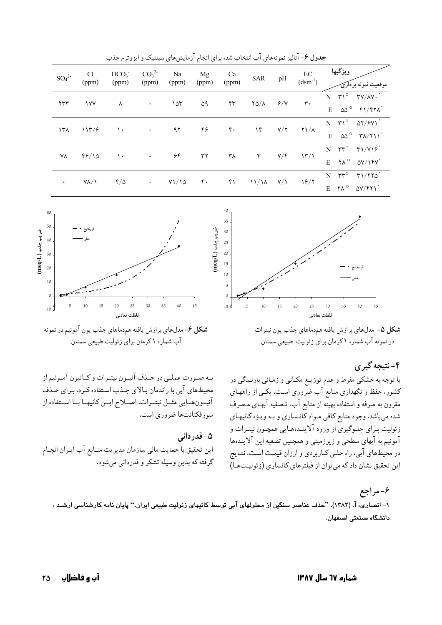| $SO_4^2$       | Cl<br>(ppm)  | HCO <sub>3</sub><br>(ppm) | CO <sub>3</sub> <sup>2</sup><br>(ppm) | Na<br>(ppm)         | Mg<br>(ppm)      | Ca<br>(ppm)      | <b>SAR</b>        | pH               | $\operatorname{EC}$<br>$(dsm^{-1})$   | ويژگيها<br>یت نمونه بر دارئ                                                                                                         |
|----------------|--------------|---------------------------|---------------------------------------|---------------------|------------------|------------------|-------------------|------------------|---------------------------------------|-------------------------------------------------------------------------------------------------------------------------------------|
| $\tau\tau\tau$ | <b>IVY</b>   | ⋏                         | $\bullet$                             | 105                 | ۵۹               | ۴۳               | $Y\Delta/\lambda$ | 9/7              | $\mathsf{r}\cdot$                     | $\mathsf{r}_1^\circ$ $\mathsf{r}_\mathsf{V/N}$ .<br>N<br>$\omega^{\circ}$ $\gamma$ / $\gamma\lambda'$<br>E                          |
| ۱۳۸            | 117/5        | ١.                        | $\bullet$                             | ۹۲                  | ۴۶               | $\mathfrak{r}$ . | ۱۴                | Y/Y              | $\gamma/\lambda$                      | $N$ $\uparrow\uparrow^{\circ}$ $\Delta\uparrow/\circ\uparrow\uparrow'$<br>$\omega^{\circ}$ $\tau \wedge \gamma \wedge \gamma'$<br>E |
| ۷۸             | 46/10        | $\mathcal{L}$             | $\bullet$                             | ۶۴                  | ٣٢               | ۳۸               | ۴                 | $Y/\mathfrak{f}$ | $\langle \uparrow \uparrow / \rangle$ | $\mathsf{r}\mathsf{r}^\circ$<br>T1/Y19'<br>N<br>$f \wedge^{\circ}$ $\Delta V / I f V'$<br>E                                         |
| $\bullet$      | $Y/\sqrt{2}$ | $f/\Delta$                | $\bullet$                             | $Y\frac{1}{\Delta}$ | $\mathfrak{r}$ . | ۴۱               | $11/\lambda$      | $Y/\Upsilon$     | 18/7                                  | $rr^{\circ}$<br>T1/F10'<br>N<br>$FA^{\circ}$<br>$\Delta V/\gamma \gamma'$<br>E                                                      |

جدول ۶- آنالیز نمونههای آب انتخاب شده برای انجام آزمایش های سینتیک و ایزوترم جذب



شکل ۵- مدلهای برازش یافته همدماهای جذب یون نیترات در نمونه آب شماره ۱ کرمان برای زئولیت طبیعی سمنان

۴-نتيجه گيري با توجه به خشکی مفرط و عدم توزیـع مکـانی و زمـانی بارنـدگی در کشور، حفظ و نگهداری منابع آب ضروری است. یکـی از راههـای مقرون به صرفه و استفاده بهینّه از منابع آب، تـصفیه آبهـای مـصرف شده میباشد. وجود منابع کافی مواد کانـساري و بـه ويـژه کانيهـاي زئولیت بـرای جلـوگیری از ورود آلاینـدهعـایی همچـون نیتـرات و آمونیم به آبهای سطحی و زیرزمینی و همچنین تصفیه این آلایندهها در محیطهای آبی، راه حلبی کـاربردی و ارزان قیمـت اسـت. نتـایج این تحقیق نشان داد که می توان از فیلترهای کانساری (زئولیتها)



آب شماره ۱ کرمان برای زئولیت طبیعی سمنان

بـه صـورت عملـي در حـذف آنيـون نيتـرات و كـاتيون آمـونيم از محیطهای آبی با راندمان بالای جـذب اسـتفاده کـرد. بـرای حـذف آنيمون همايي مثمل نيتمرات، اصلاح ايمن كانيهما بما استفاده از سورفكتانتها ضروري است.

#### ۵– قدر دانی

این تحقیق با حمایت مالی سازمان مدیریت منـابع آب ایـران انجـام گرفته که بدين وسيله تشکر و قدرداني مي شود.

۶- مراجع ۱– انصاری، آ. (۱۳۸۲). "حذف عناصر سنگین از محلولهای آبی توسط کانیهای زئولیت طبیعی ایران." پایان نامه کارشناسی ارشـد ، دانشگاه صنعتی اصفهان.